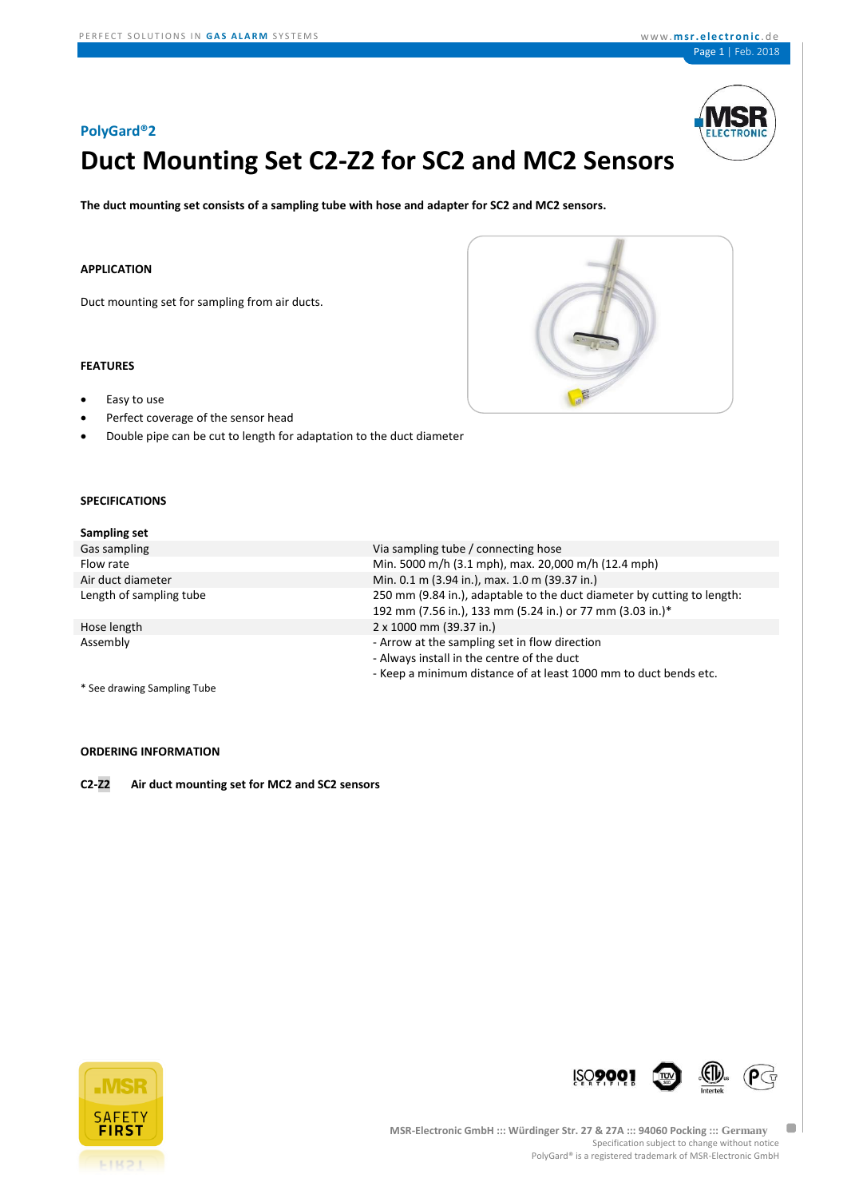

# **Duct Mounting Set C2-Z2 for SC2 and MC2 Sensors**

**The duct mounting set consists of a sampling tube with hose and adapter for SC2 and MC2 sensors.**

#### **APPLICATION**

Duct mounting set for sampling from air ducts.

# **FEATURES**

- Easy to use
- Perfect coverage of the sensor head
- Double pipe can be cut to length for adaptation to the duct diameter

# **SPECIFICATIONS**

| <b>Sampling set</b> |  |  |
|---------------------|--|--|
|---------------------|--|--|

| Gas sampling            | Via sampling tube / connecting hose                                     |
|-------------------------|-------------------------------------------------------------------------|
| Flow rate               | Min. 5000 m/h (3.1 mph), max. 20,000 m/h (12.4 mph)                     |
| Air duct diameter       | Min. 0.1 m (3.94 in.), max. 1.0 m (39.37 in.)                           |
| Length of sampling tube | 250 mm (9.84 in.), adaptable to the duct diameter by cutting to length: |
|                         | 192 mm (7.56 in.), 133 mm (5.24 in.) or 77 mm (3.03 in.)*               |
| Hose length             | 2 x 1000 mm (39.37 in.)                                                 |
| Assembly                | - Arrow at the sampling set in flow direction                           |
|                         | - Always install in the centre of the duct                              |
|                         | - Keep a minimum distance of at least 1000 mm to duct bends etc.        |
|                         |                                                                         |

\* See drawing Sampling Tube

# **ORDERING INFORMATION**

**C2-Z2 Air duct mounting set for MC2 and SC2 sensors**





 $\blacksquare$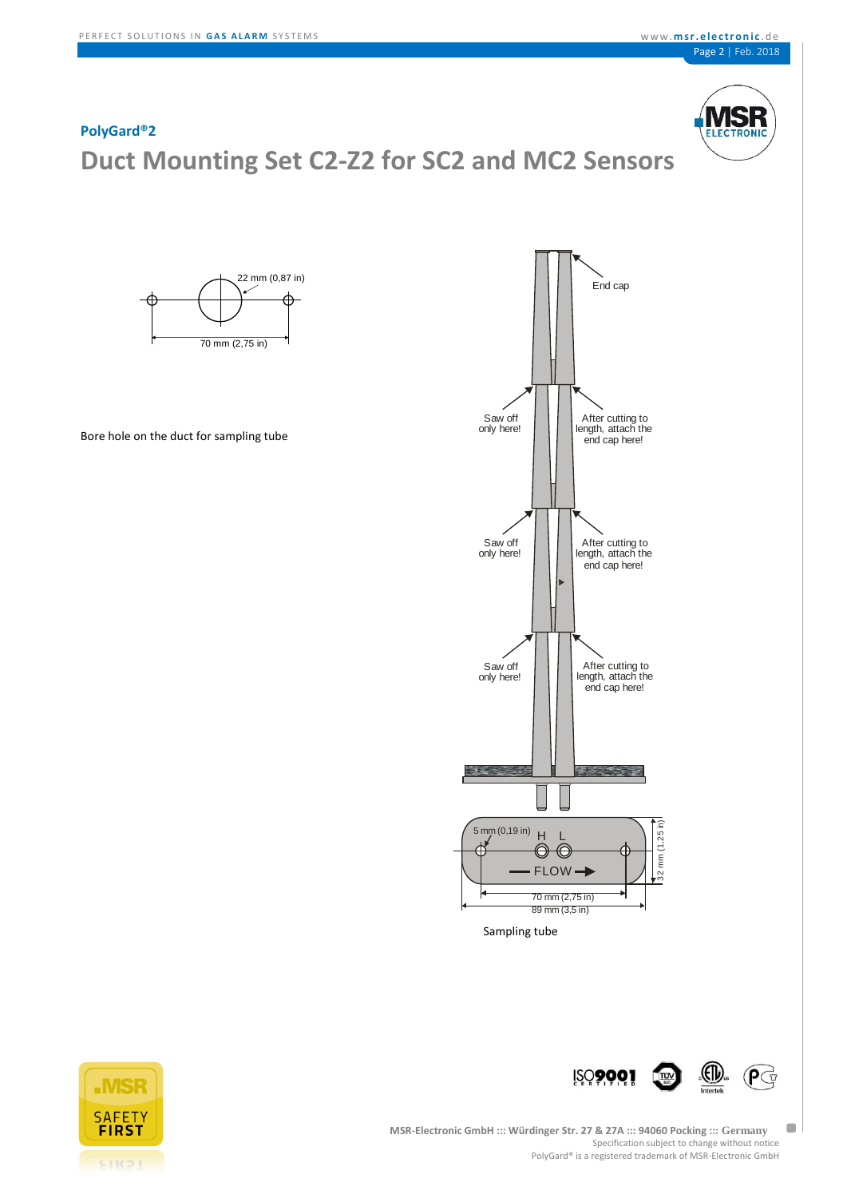Specification subject to change without notice

PolyGard® is a registered trademark of MSR-Electronic GmbH

# **ELECTRONIC**



**ETR21**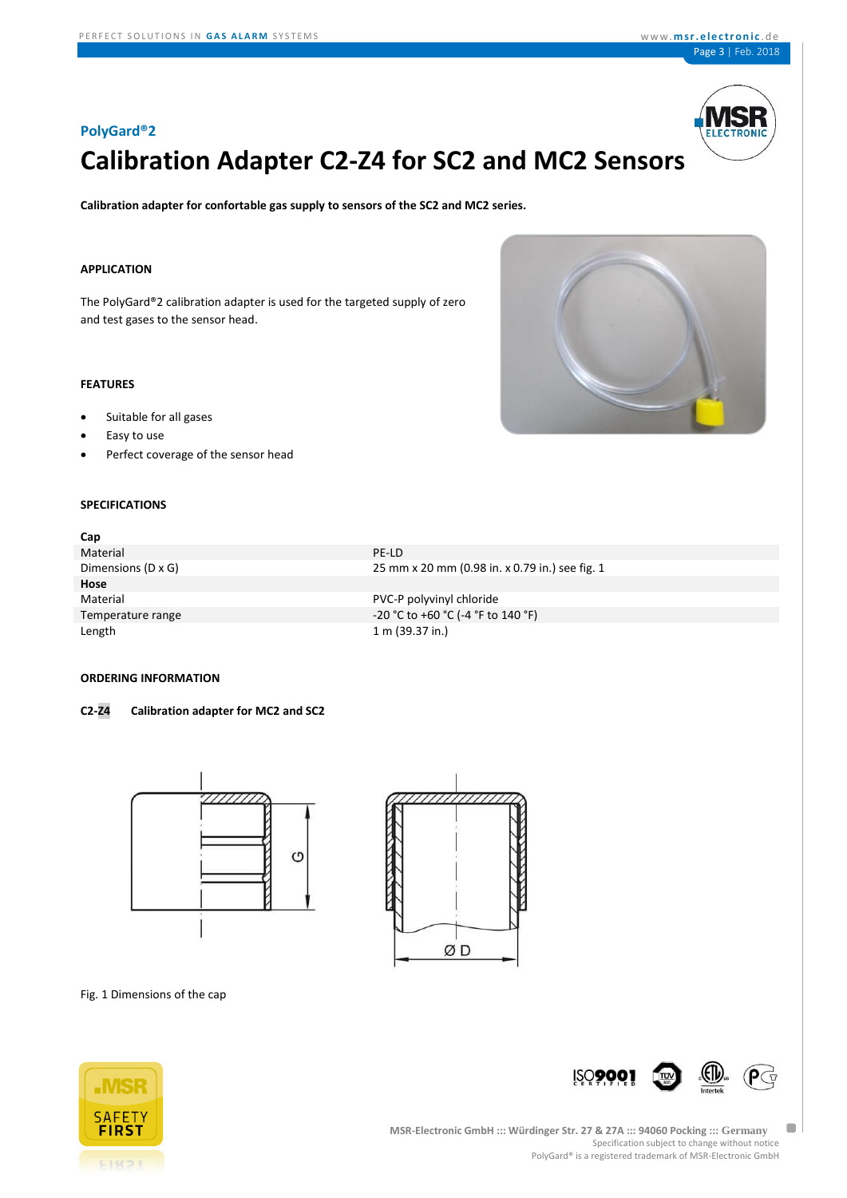

# **Calibration Adapter C2-Z4 for SC2 and MC2 Sensors**

**Calibration adapter for confortable gas supply to sensors of the SC2 and MC2 series.**

Temperature range Temperature range and the contract of the contract of the contract of the contract of the contract of the contract of the contract of the contract of the contract of the contract of the contract of the co

Length 1 m (39.37 in.)

#### **APPLICATION**

The PolyGard®2 calibration adapter is used for the targeted supply of zero and test gases to the sensor head.

# **FEATURES**

- Suitable for all gases
- Easy to use
- Perfect coverage of the sensor head

# **SPECIFIC**

| Perfect coverage of the sensor head<br>$\bullet$ |                                                |
|--------------------------------------------------|------------------------------------------------|
|                                                  |                                                |
| <b>SPECIFICATIONS</b>                            |                                                |
| Cap                                              |                                                |
| Material                                         | PE-LD                                          |
| Dimensions (D x G)                               | 25 mm x 20 mm (0.98 in. x 0.79 in.) see fig. 1 |
| Hose                                             |                                                |
| Material                                         | PVC-P polyvinyl chloride                       |

## **ORDERING INFORMATION**

## **C2-Z4 Calibration adapter for MC2 and SC2**





### Fig. 1 Dimensions of the cap





 $\blacksquare$ 

**MSR-Electronic GmbH ::: Würdinger Str. 27 & 27A ::: 94060 Pocking ::: Germany** Specification subject to change without notice PolyGard® is a registered trademark of MSR-Electronic GmbH

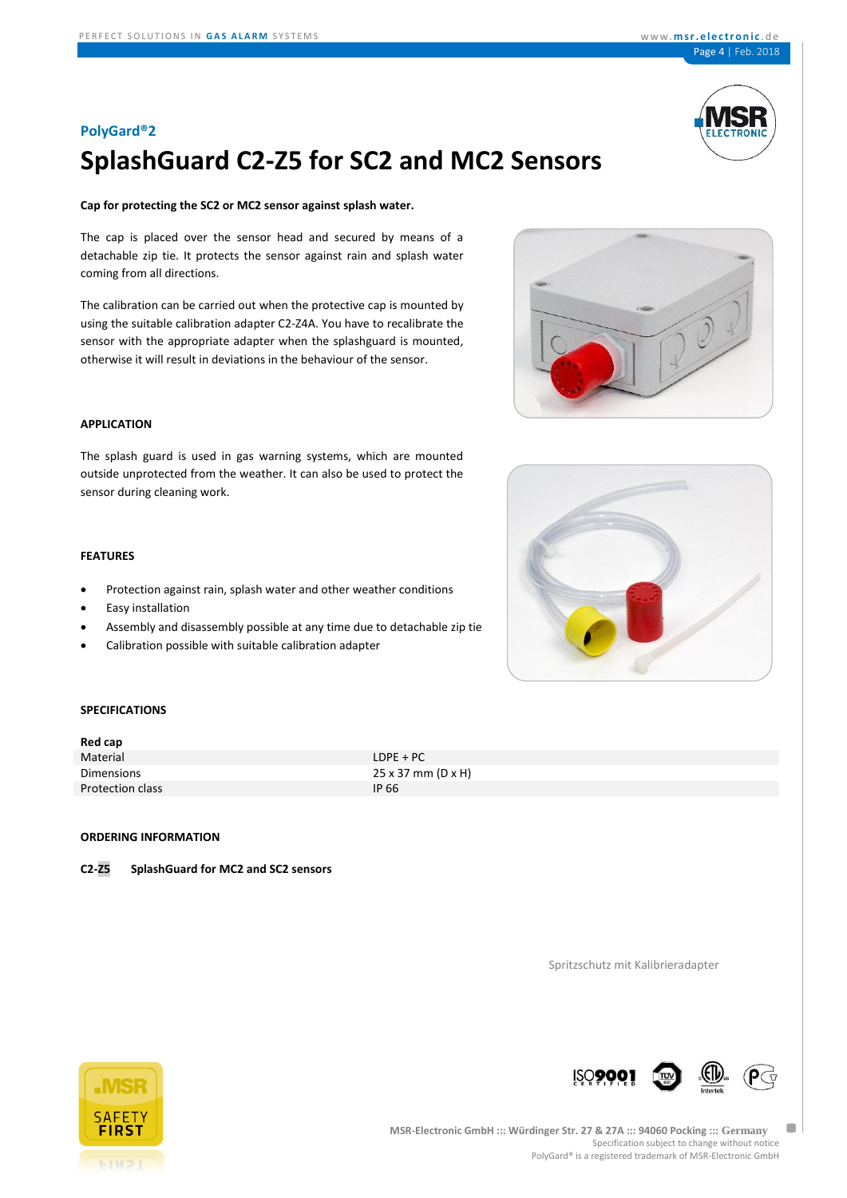

# **SplashGuard C2-Z5 for SC2 and MC2 Sensors**

#### **Cap for protecting the SC2 or MC2 sensor against splash water.**

The cap is placed over the sensor head and secured by means of a detachable zip tie. It protects the sensor against rain and splash water coming from all directions.

The calibration can be carried out when the protective cap is mounted by using the suitable calibration adapter C2-Z4A. You have to recalibrate the sensor with the appropriate adapter when the splashguard is mounted, otherwise it will result in deviations in the behaviour of the sensor.



The splash guard is used in gas warning systems, which are mounted outside unprotected from the weather. It can also be used to protect the sensor during cleaning work.

# **FEATURES**

- Protection against rain, splash water and other weather conditions
- Easy installation
- Assembly and disassembly possible at any time due to detachable zip tie
- Calibration possible with suitable calibration adapter





# **SPECIFICATIONS**

| $L$ DPE + PC                     |
|----------------------------------|
| $25 \times 37$ mm (D $\times$ H) |
| IP 66                            |
|                                  |

## **ORDERING INFORMATION**

**C2-Z5 SplashGuard for MC2 and SC2 sensors**

Spritzschutz mit Kalibrieradapter





 $\Box$ 

**ISO900**